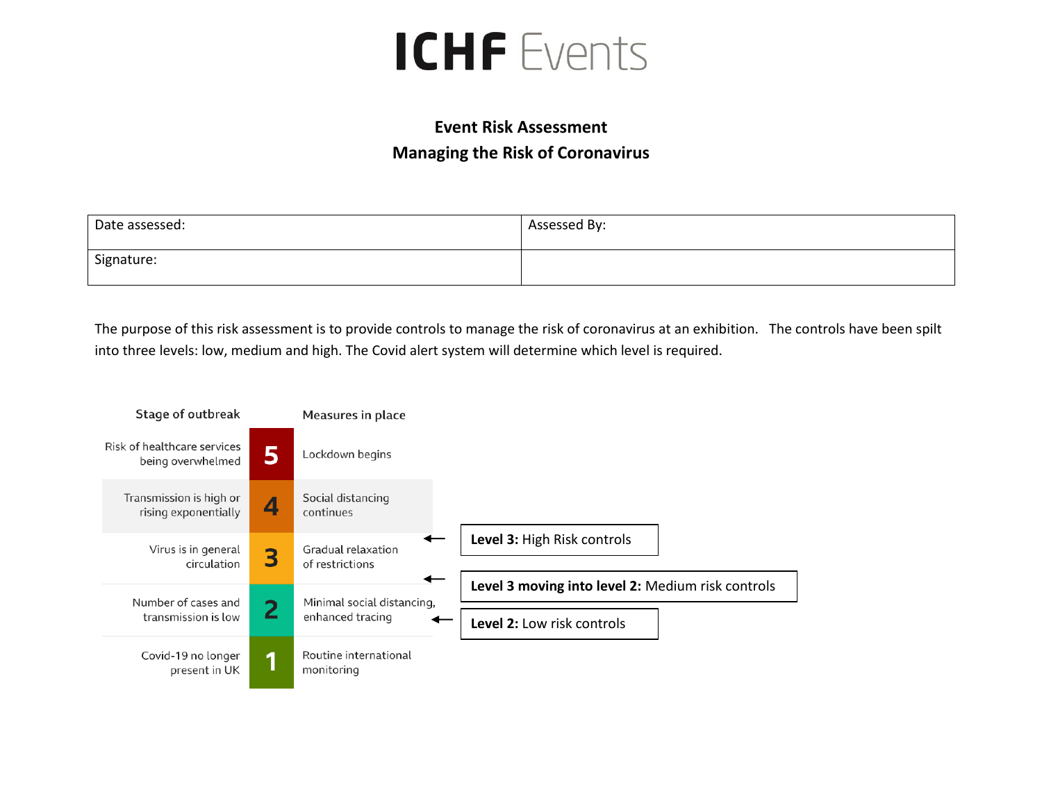## **ICHF** Events

## **Event Risk Assessment Managing the Risk of Coronavirus**

| Date assessed: | Assessed By: |
|----------------|--------------|
| Signature:     |              |

The purpose of this risk assessment is to provide controls to manage the risk of coronavirus at an exhibition. The controls have been spilt into three levels: low, medium and high. The Covid alert system will determine which level is required.

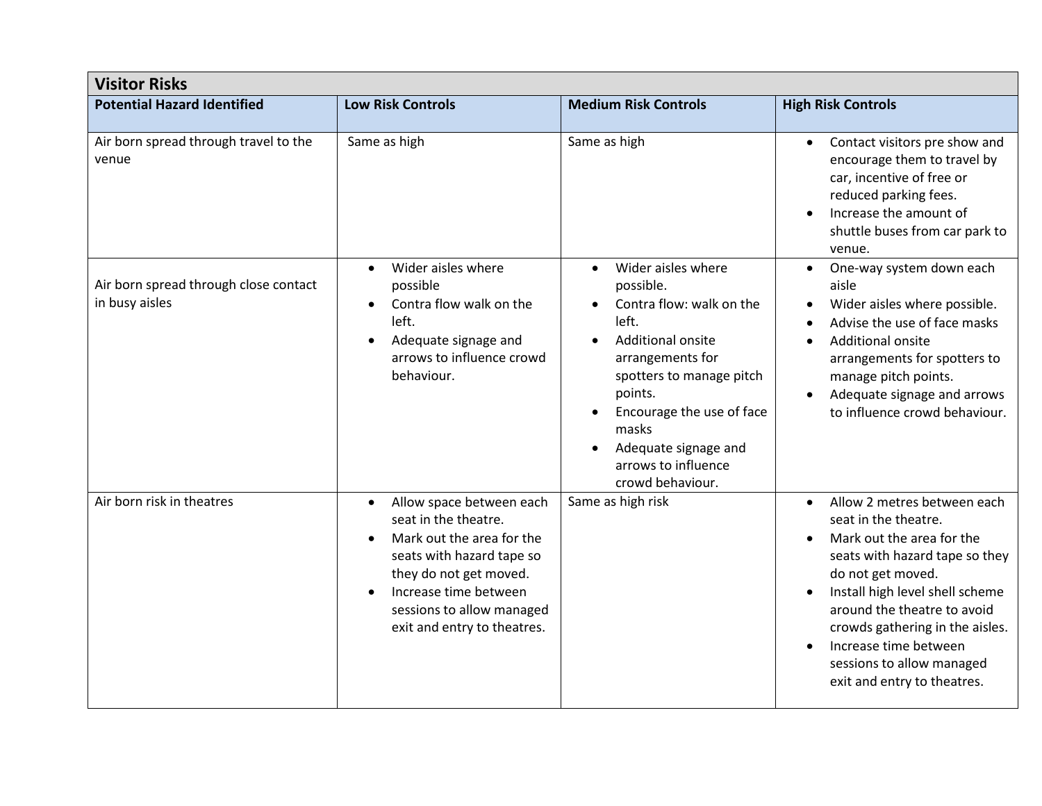| <b>Visitor Risks</b>                                    |                                                                                                                                                                                                                                        |                                                                                                                                                                                                                                                                                                |                                                                                                                                                                                                                                                                                                                                                |
|---------------------------------------------------------|----------------------------------------------------------------------------------------------------------------------------------------------------------------------------------------------------------------------------------------|------------------------------------------------------------------------------------------------------------------------------------------------------------------------------------------------------------------------------------------------------------------------------------------------|------------------------------------------------------------------------------------------------------------------------------------------------------------------------------------------------------------------------------------------------------------------------------------------------------------------------------------------------|
| <b>Potential Hazard Identified</b>                      | <b>Low Risk Controls</b>                                                                                                                                                                                                               | <b>Medium Risk Controls</b>                                                                                                                                                                                                                                                                    | <b>High Risk Controls</b>                                                                                                                                                                                                                                                                                                                      |
| Air born spread through travel to the<br>venue          | Same as high                                                                                                                                                                                                                           | Same as high                                                                                                                                                                                                                                                                                   | Contact visitors pre show and<br>$\bullet$<br>encourage them to travel by<br>car, incentive of free or<br>reduced parking fees.<br>Increase the amount of<br>shuttle buses from car park to<br>venue.                                                                                                                                          |
| Air born spread through close contact<br>in busy aisles | Wider aisles where<br>$\bullet$<br>possible<br>Contra flow walk on the<br>$\bullet$<br>left.<br>Adequate signage and<br>$\bullet$<br>arrows to influence crowd<br>behaviour.                                                           | Wider aisles where<br>$\bullet$<br>possible.<br>Contra flow: walk on the<br>left.<br><b>Additional onsite</b><br>$\bullet$<br>arrangements for<br>spotters to manage pitch<br>points.<br>Encourage the use of face<br>masks<br>Adequate signage and<br>arrows to influence<br>crowd behaviour. | One-way system down each<br>$\bullet$<br>aisle<br>Wider aisles where possible.<br>Advise the use of face masks<br>Additional onsite<br>arrangements for spotters to<br>manage pitch points.<br>Adequate signage and arrows<br>to influence crowd behaviour.                                                                                    |
| Air born risk in theatres                               | Allow space between each<br>$\bullet$<br>seat in the theatre.<br>Mark out the area for the<br>seats with hazard tape so<br>they do not get moved.<br>Increase time between<br>sessions to allow managed<br>exit and entry to theatres. | Same as high risk                                                                                                                                                                                                                                                                              | Allow 2 metres between each<br>$\bullet$<br>seat in the theatre.<br>Mark out the area for the<br>seats with hazard tape so they<br>do not get moved.<br>Install high level shell scheme<br>around the theatre to avoid<br>crowds gathering in the aisles.<br>Increase time between<br>sessions to allow managed<br>exit and entry to theatres. |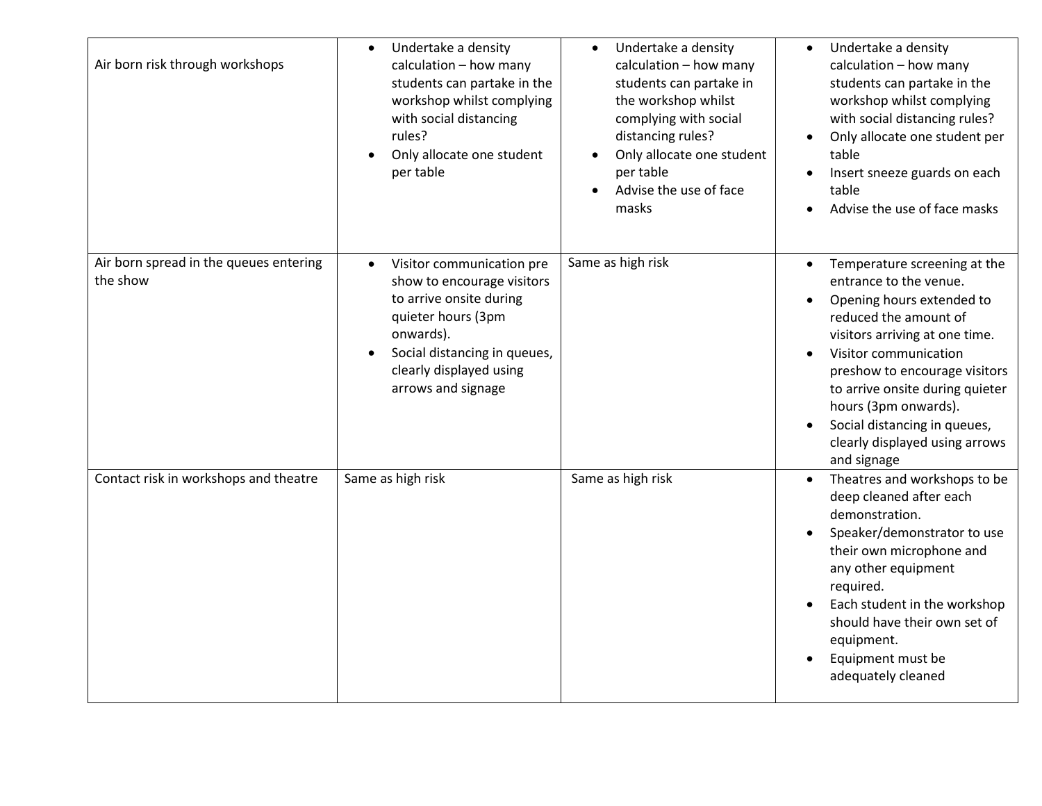| Air born risk through workshops                    | Undertake a density<br>calculation - how many<br>students can partake in the<br>workshop whilst complying<br>with social distancing<br>rules?<br>Only allocate one student<br>per table                             | Undertake a density<br>calculation - how many<br>students can partake in<br>the workshop whilst<br>complying with social<br>distancing rules?<br>Only allocate one student<br>٠<br>per table<br>Advise the use of face<br>masks | Undertake a density<br>calculation - how many<br>students can partake in the<br>workshop whilst complying<br>with social distancing rules?<br>Only allocate one student per<br>table<br>Insert sneeze guards on each<br>table<br>Advise the use of face masks                                                                                                                  |
|----------------------------------------------------|---------------------------------------------------------------------------------------------------------------------------------------------------------------------------------------------------------------------|---------------------------------------------------------------------------------------------------------------------------------------------------------------------------------------------------------------------------------|--------------------------------------------------------------------------------------------------------------------------------------------------------------------------------------------------------------------------------------------------------------------------------------------------------------------------------------------------------------------------------|
| Air born spread in the queues entering<br>the show | Visitor communication pre<br>$\bullet$<br>show to encourage visitors<br>to arrive onsite during<br>quieter hours (3pm<br>onwards).<br>Social distancing in queues,<br>clearly displayed using<br>arrows and signage | Same as high risk                                                                                                                                                                                                               | Temperature screening at the<br>entrance to the venue.<br>Opening hours extended to<br>$\bullet$<br>reduced the amount of<br>visitors arriving at one time.<br>Visitor communication<br>$\bullet$<br>preshow to encourage visitors<br>to arrive onsite during quieter<br>hours (3pm onwards).<br>Social distancing in queues,<br>clearly displayed using arrows<br>and signage |
| Contact risk in workshops and theatre              | Same as high risk                                                                                                                                                                                                   | Same as high risk                                                                                                                                                                                                               | Theatres and workshops to be<br>$\bullet$<br>deep cleaned after each<br>demonstration.<br>Speaker/demonstrator to use<br>their own microphone and<br>any other equipment<br>required.<br>Each student in the workshop<br>should have their own set of<br>equipment.<br>Equipment must be<br>adequately cleaned                                                                 |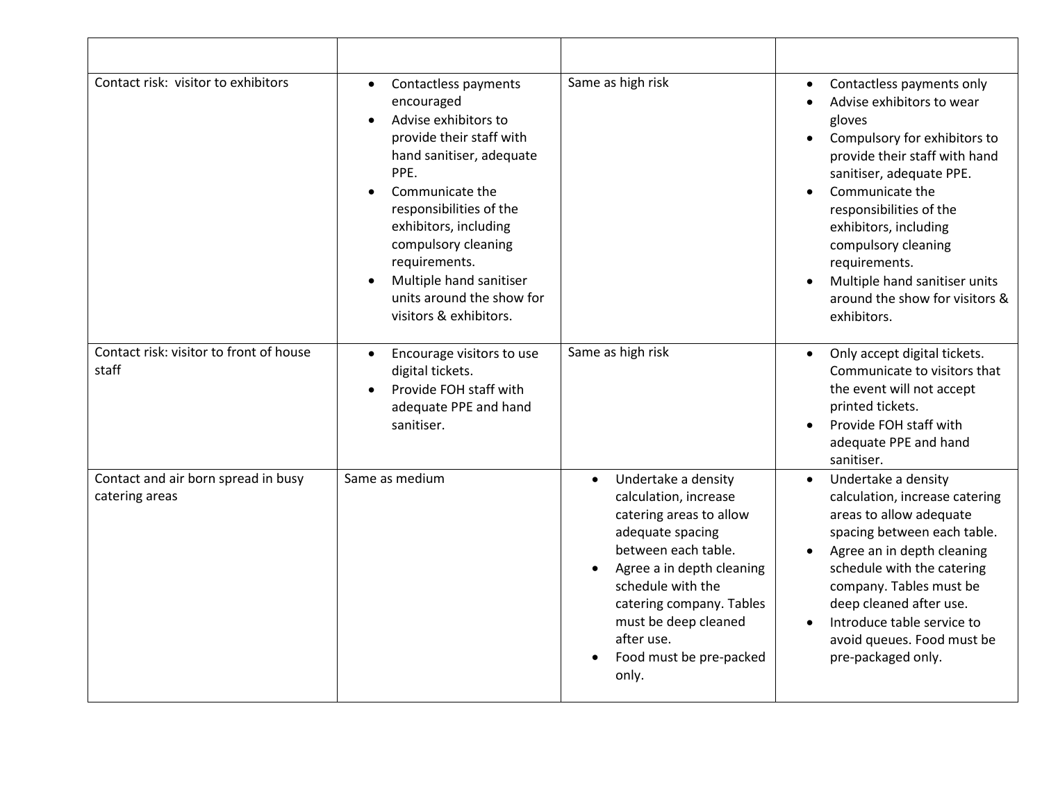| Contact risk: visitor to exhibitors                   | Contactless payments<br>$\bullet$<br>encouraged<br>Advise exhibitors to<br>$\bullet$<br>provide their staff with<br>hand sanitiser, adequate<br>PPE.<br>Communicate the<br>responsibilities of the<br>exhibitors, including<br>compulsory cleaning<br>requirements.<br>Multiple hand sanitiser<br>units around the show for<br>visitors & exhibitors. | Same as high risk                                                                                                                                                                                                                                                                       | Contactless payments only<br>Advise exhibitors to wear<br>gloves<br>Compulsory for exhibitors to<br>provide their staff with hand<br>sanitiser, adequate PPE.<br>Communicate the<br>responsibilities of the<br>exhibitors, including<br>compulsory cleaning<br>requirements.<br>Multiple hand sanitiser units<br>around the show for visitors &<br>exhibitors. |
|-------------------------------------------------------|-------------------------------------------------------------------------------------------------------------------------------------------------------------------------------------------------------------------------------------------------------------------------------------------------------------------------------------------------------|-----------------------------------------------------------------------------------------------------------------------------------------------------------------------------------------------------------------------------------------------------------------------------------------|----------------------------------------------------------------------------------------------------------------------------------------------------------------------------------------------------------------------------------------------------------------------------------------------------------------------------------------------------------------|
| Contact risk: visitor to front of house<br>staff      | Encourage visitors to use<br>$\bullet$<br>digital tickets.<br>Provide FOH staff with<br>adequate PPE and hand<br>sanitiser.                                                                                                                                                                                                                           | Same as high risk                                                                                                                                                                                                                                                                       | Only accept digital tickets.<br>$\bullet$<br>Communicate to visitors that<br>the event will not accept<br>printed tickets.<br>Provide FOH staff with<br>$\bullet$<br>adequate PPE and hand<br>sanitiser.                                                                                                                                                       |
| Contact and air born spread in busy<br>catering areas | Same as medium                                                                                                                                                                                                                                                                                                                                        | Undertake a density<br>$\bullet$<br>calculation, increase<br>catering areas to allow<br>adequate spacing<br>between each table.<br>Agree a in depth cleaning<br>schedule with the<br>catering company. Tables<br>must be deep cleaned<br>after use.<br>Food must be pre-packed<br>only. | Undertake a density<br>$\bullet$<br>calculation, increase catering<br>areas to allow adequate<br>spacing between each table.<br>Agree an in depth cleaning<br>schedule with the catering<br>company. Tables must be<br>deep cleaned after use.<br>Introduce table service to<br>avoid queues. Food must be<br>pre-packaged only.                               |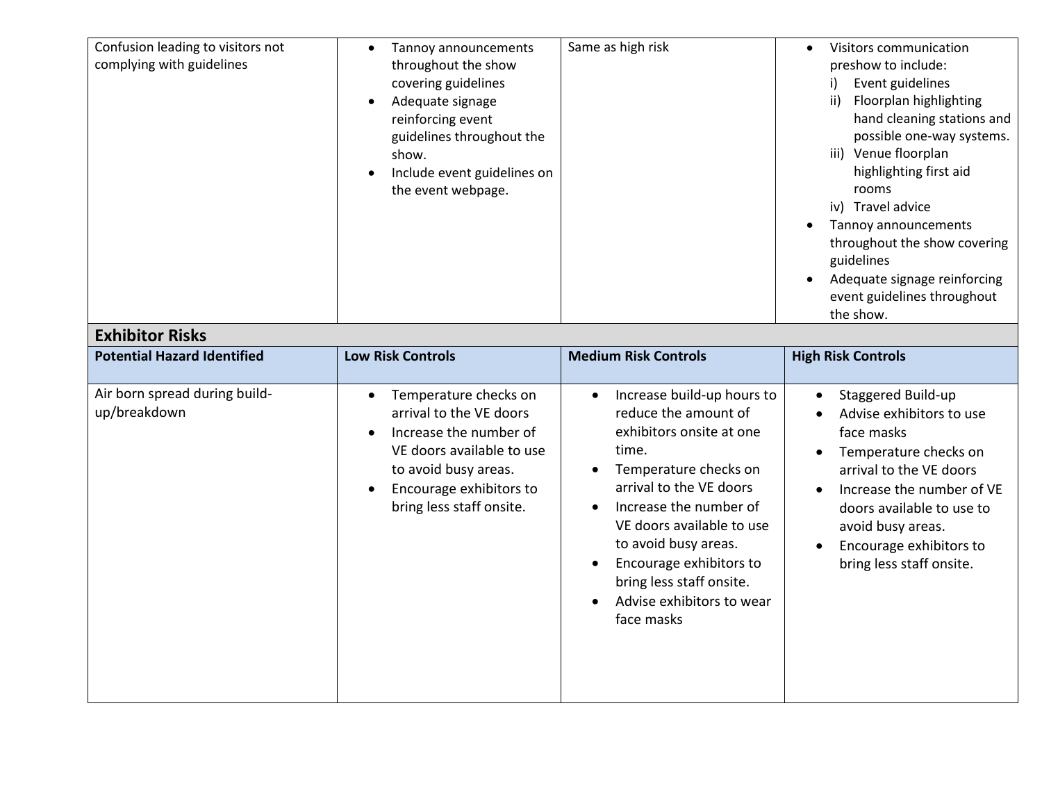| Confusion leading to visitors not<br>complying with guidelines<br><b>Exhibitor Risks</b> | Tannoy announcements<br>throughout the show<br>covering guidelines<br>Adequate signage<br>$\bullet$<br>reinforcing event<br>guidelines throughout the<br>show.<br>Include event guidelines on<br>the event webpage. | Same as high risk                                                                                                                                                                                                                                                                                                                         | Visitors communication<br>$\bullet$<br>preshow to include:<br>Event guidelines<br>i)<br>Floorplan highlighting<br>ii)<br>hand cleaning stations and<br>possible one-way systems.<br>iii) Venue floorplan<br>highlighting first aid<br>rooms<br>iv) Travel advice<br>Tannoy announcements<br>throughout the show covering<br>guidelines<br>Adequate signage reinforcing<br>event guidelines throughout<br>the show. |
|------------------------------------------------------------------------------------------|---------------------------------------------------------------------------------------------------------------------------------------------------------------------------------------------------------------------|-------------------------------------------------------------------------------------------------------------------------------------------------------------------------------------------------------------------------------------------------------------------------------------------------------------------------------------------|--------------------------------------------------------------------------------------------------------------------------------------------------------------------------------------------------------------------------------------------------------------------------------------------------------------------------------------------------------------------------------------------------------------------|
| <b>Potential Hazard Identified</b>                                                       | <b>Low Risk Controls</b>                                                                                                                                                                                            | <b>Medium Risk Controls</b>                                                                                                                                                                                                                                                                                                               | <b>High Risk Controls</b>                                                                                                                                                                                                                                                                                                                                                                                          |
| Air born spread during build-<br>up/breakdown                                            | Temperature checks on<br>arrival to the VE doors<br>Increase the number of<br>$\bullet$<br>VE doors available to use<br>to avoid busy areas.<br>Encourage exhibitors to<br>bring less staff onsite.                 | Increase build-up hours to<br>reduce the amount of<br>exhibitors onsite at one<br>time.<br>Temperature checks on<br>$\bullet$<br>arrival to the VE doors<br>Increase the number of<br>VE doors available to use<br>to avoid busy areas.<br>Encourage exhibitors to<br>bring less staff onsite.<br>Advise exhibitors to wear<br>face masks | Staggered Build-up<br>Advise exhibitors to use<br>face masks<br>Temperature checks on<br>arrival to the VE doors<br>Increase the number of VE<br>doors available to use to<br>avoid busy areas.<br>Encourage exhibitors to<br>bring less staff onsite.                                                                                                                                                             |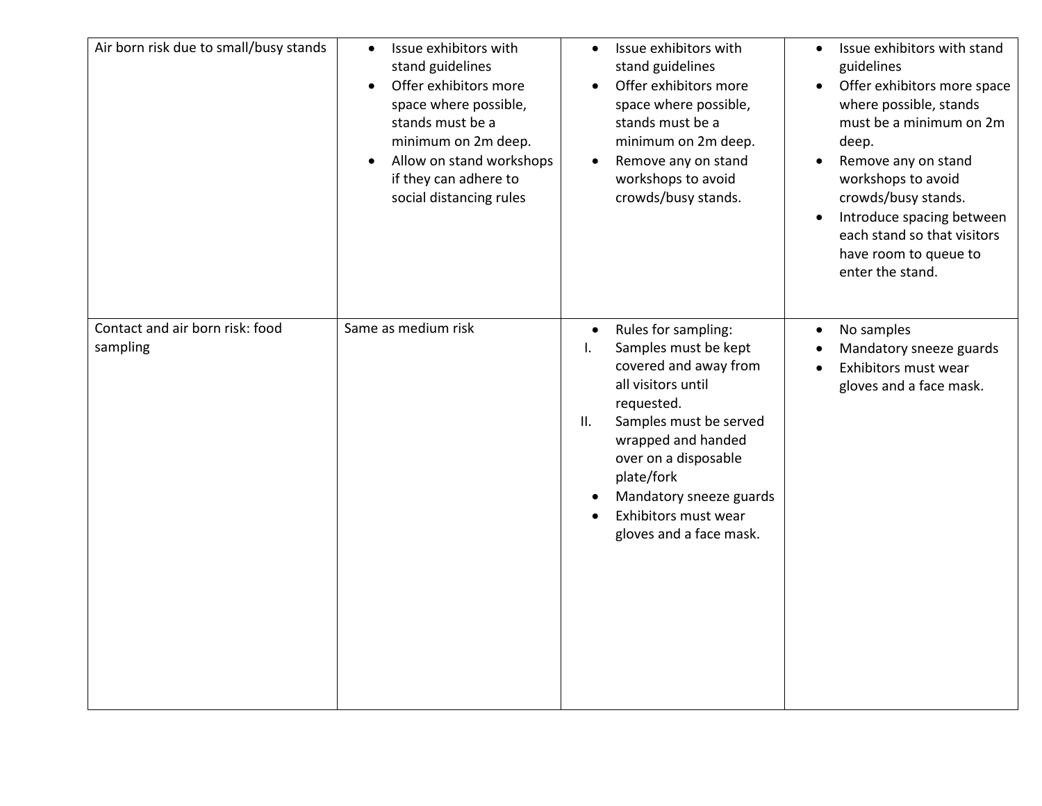| Air born risk due to small/busy stands      | Issue exhibitors with<br>$\bullet$<br>stand guidelines<br>Offer exhibitors more<br>$\bullet$<br>space where possible,<br>stands must be a<br>minimum on 2m deep.<br>Allow on stand workshops<br>$\bullet$<br>if they can adhere to<br>social distancing rules | Issue exhibitors with<br>$\bullet$<br>stand guidelines<br>Offer exhibitors more<br>$\bullet$<br>space where possible,<br>stands must be a<br>minimum on 2m deep.<br>Remove any on stand<br>$\bullet$<br>workshops to avoid<br>crowds/busy stands.                                                                   | Issue exhibitors with stand<br>$\bullet$<br>guidelines<br>Offer exhibitors more space<br>$\bullet$<br>where possible, stands<br>must be a minimum on 2m<br>deep.<br>Remove any on stand<br>$\bullet$<br>workshops to avoid<br>crowds/busy stands.<br>Introduce spacing between<br>$\bullet$<br>each stand so that visitors<br>have room to queue to<br>enter the stand. |
|---------------------------------------------|---------------------------------------------------------------------------------------------------------------------------------------------------------------------------------------------------------------------------------------------------------------|---------------------------------------------------------------------------------------------------------------------------------------------------------------------------------------------------------------------------------------------------------------------------------------------------------------------|-------------------------------------------------------------------------------------------------------------------------------------------------------------------------------------------------------------------------------------------------------------------------------------------------------------------------------------------------------------------------|
| Contact and air born risk: food<br>sampling | Same as medium risk                                                                                                                                                                                                                                           | Rules for sampling:<br>$\bullet$<br>Samples must be kept<br>Ι.<br>covered and away from<br>all visitors until<br>requested.<br>Samples must be served<br>II.<br>wrapped and handed<br>over on a disposable<br>plate/fork<br>Mandatory sneeze guards<br>$\bullet$<br>Exhibitors must wear<br>gloves and a face mask. | No samples<br>$\bullet$<br>Mandatory sneeze guards<br>$\bullet$<br>Exhibitors must wear<br>$\bullet$<br>gloves and a face mask.                                                                                                                                                                                                                                         |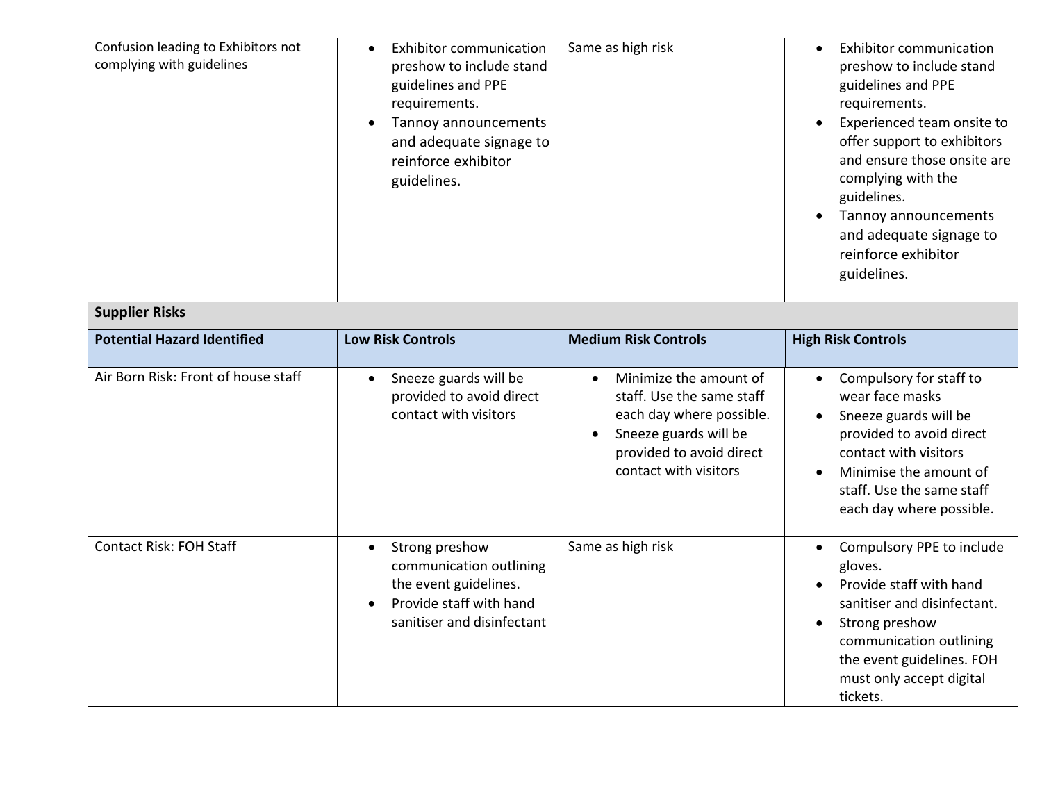| Confusion leading to Exhibitors not<br>complying with guidelines | <b>Exhibitor communication</b><br>preshow to include stand<br>guidelines and PPE<br>requirements.<br>Tannoy announcements<br>$\bullet$<br>and adequate signage to<br>reinforce exhibitor<br>guidelines. | Same as high risk                                                                                                                                                          | <b>Exhibitor communication</b><br>preshow to include stand<br>guidelines and PPE<br>requirements.<br>Experienced team onsite to<br>offer support to exhibitors<br>and ensure those onsite are<br>complying with the<br>guidelines.<br>Tannoy announcements<br>and adequate signage to<br>reinforce exhibitor<br>guidelines. |
|------------------------------------------------------------------|---------------------------------------------------------------------------------------------------------------------------------------------------------------------------------------------------------|----------------------------------------------------------------------------------------------------------------------------------------------------------------------------|-----------------------------------------------------------------------------------------------------------------------------------------------------------------------------------------------------------------------------------------------------------------------------------------------------------------------------|
| <b>Supplier Risks</b>                                            |                                                                                                                                                                                                         |                                                                                                                                                                            |                                                                                                                                                                                                                                                                                                                             |
| <b>Potential Hazard Identified</b>                               | <b>Low Risk Controls</b>                                                                                                                                                                                | <b>Medium Risk Controls</b>                                                                                                                                                | <b>High Risk Controls</b>                                                                                                                                                                                                                                                                                                   |
| Air Born Risk: Front of house staff                              | Sneeze guards will be<br>provided to avoid direct<br>contact with visitors                                                                                                                              | Minimize the amount of<br>staff. Use the same staff<br>each day where possible.<br>Sneeze guards will be<br>$\bullet$<br>provided to avoid direct<br>contact with visitors | Compulsory for staff to<br>wear face masks<br>Sneeze guards will be<br>provided to avoid direct<br>contact with visitors<br>Minimise the amount of<br>staff. Use the same staff<br>each day where possible.                                                                                                                 |
| <b>Contact Risk: FOH Staff</b>                                   | Strong preshow<br>communication outlining<br>the event guidelines.<br>Provide staff with hand<br>$\bullet$<br>sanitiser and disinfectant                                                                | Same as high risk                                                                                                                                                          | Compulsory PPE to include<br>gloves.<br>Provide staff with hand<br>sanitiser and disinfectant.<br>Strong preshow<br>communication outlining<br>the event guidelines. FOH<br>must only accept digital<br>tickets.                                                                                                            |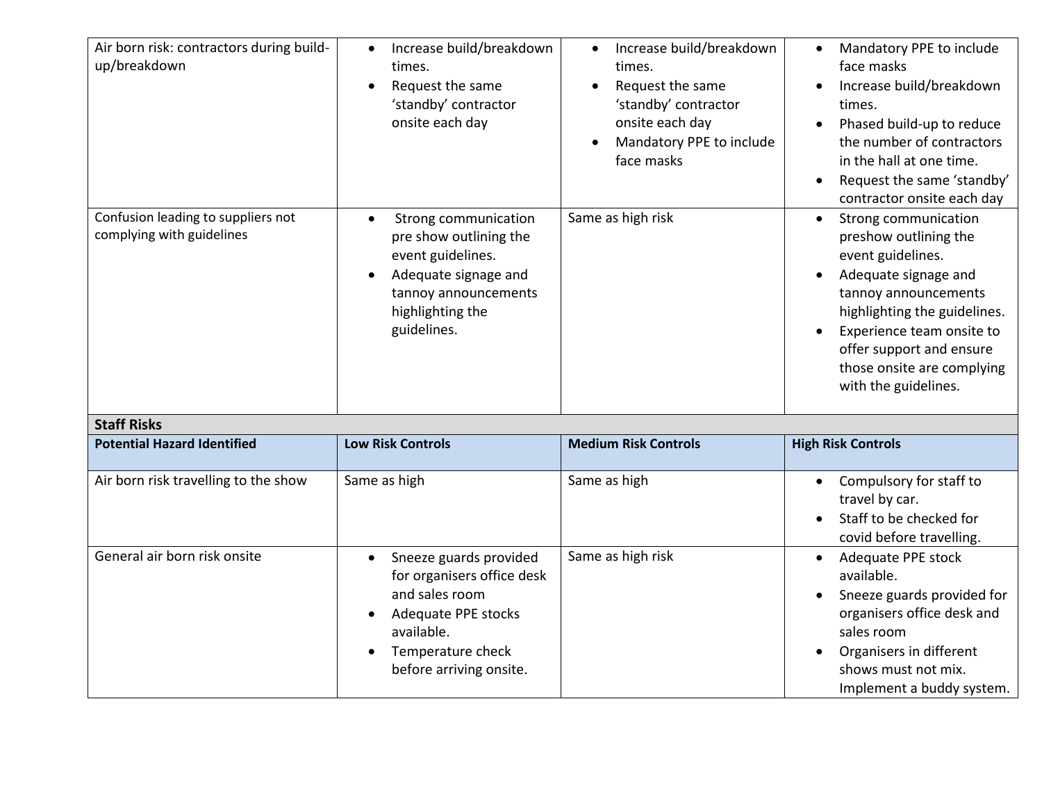| Air born risk: contractors during build-<br>up/breakdown<br>Confusion leading to suppliers not<br>complying with guidelines | Increase build/breakdown<br>$\bullet$<br>times.<br>Request the same<br>'standby' contractor<br>onsite each day<br>Strong communication<br>$\bullet$<br>pre show outlining the<br>event guidelines. | Increase build/breakdown<br>$\bullet$<br>times.<br>Request the same<br>'standby' contractor<br>onsite each day<br>Mandatory PPE to include<br>face masks<br>Same as high risk | Mandatory PPE to include<br>face masks<br>Increase build/breakdown<br>times.<br>Phased build-up to reduce<br>the number of contractors<br>in the hall at one time.<br>Request the same 'standby'<br>contractor onsite each day<br>Strong communication<br>$\bullet$<br>preshow outlining the<br>event guidelines. |
|-----------------------------------------------------------------------------------------------------------------------------|----------------------------------------------------------------------------------------------------------------------------------------------------------------------------------------------------|-------------------------------------------------------------------------------------------------------------------------------------------------------------------------------|-------------------------------------------------------------------------------------------------------------------------------------------------------------------------------------------------------------------------------------------------------------------------------------------------------------------|
| <b>Staff Risks</b>                                                                                                          | Adequate signage and<br>$\bullet$<br>tannoy announcements<br>highlighting the<br>guidelines.                                                                                                       |                                                                                                                                                                               | Adequate signage and<br>tannoy announcements<br>highlighting the guidelines.<br>Experience team onsite to<br>offer support and ensure<br>those onsite are complying<br>with the guidelines.                                                                                                                       |
| <b>Potential Hazard Identified</b>                                                                                          | <b>Low Risk Controls</b>                                                                                                                                                                           | <b>Medium Risk Controls</b>                                                                                                                                                   | <b>High Risk Controls</b>                                                                                                                                                                                                                                                                                         |
| Air born risk travelling to the show                                                                                        | Same as high                                                                                                                                                                                       | Same as high                                                                                                                                                                  | Compulsory for staff to<br>travel by car.<br>Staff to be checked for<br>covid before travelling.                                                                                                                                                                                                                  |
| General air born risk onsite                                                                                                | Sneeze guards provided<br>$\bullet$<br>for organisers office desk<br>and sales room<br>Adequate PPE stocks<br>$\bullet$<br>available.<br>Temperature check<br>$\bullet$<br>before arriving onsite. | Same as high risk                                                                                                                                                             | Adequate PPE stock<br>$\bullet$<br>available.<br>Sneeze guards provided for<br>organisers office desk and<br>sales room<br>Organisers in different<br>shows must not mix.<br>Implement a buddy system.                                                                                                            |